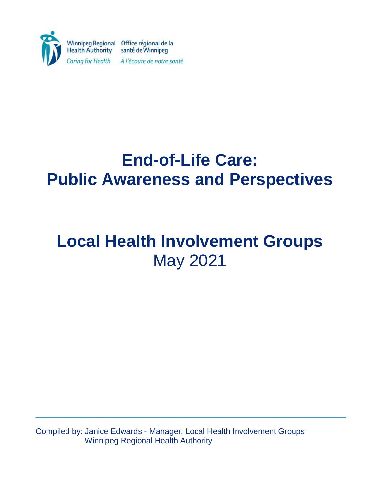

# **End-of-Life Care: Public Awareness and Perspectives**

# **Local Health Involvement Groups** May 2021

Compiled by: Janice Edwards - Manager, Local Health Involvement Groups Winnipeg Regional Health Authority

**\_\_\_\_\_\_\_\_\_\_\_\_\_\_\_\_\_\_\_\_\_\_\_\_\_\_\_\_\_\_**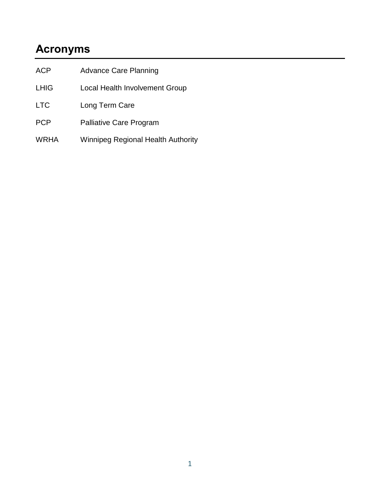# **Acronyms**

| <b>ACP</b>  | <b>Advance Care Planning</b>              |  |  |
|-------------|-------------------------------------------|--|--|
| <b>LHIG</b> | Local Health Involvement Group            |  |  |
| <b>LTC</b>  | Long Term Care                            |  |  |
| <b>PCP</b>  | <b>Palliative Care Program</b>            |  |  |
| WRHA        | <b>Winnipeg Regional Health Authority</b> |  |  |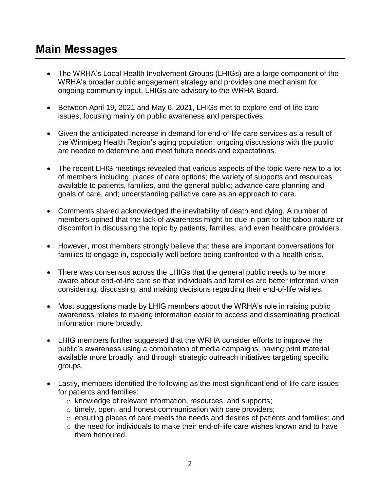## **Main Messages**

- The WRHA's Local Health Involvement Groups (LHIGs) are a large component of the WRHA's broader public engagement strategy and provides one mechanism for ongoing community input. LHIGs are advisory to the WRHA Board.
- Between April 19, 2021 and May 6, 2021, LHIGs met to explore end-of-life care issues, focusing mainly on public awareness and perspectives.
- Given the anticipated increase in demand for end-of-life care services as a result of the Winnipeg Health Region's aging population, ongoing discussions with the public are needed to determine and meet future needs and expectations.
- The recent LHIG meetings revealed that various aspects of the topic were new to a lot of members including: places of care options; the variety of supports and resources available to patients, families, and the general public; advance care planning and goals of care, and; understanding palliative care as an approach to care.
- Comments shared acknowledged the inevitability of death and dying. A number of members opined that the lack of awareness might be due in part to the taboo nature or discomfort in discussing the topic by patients, families, and even healthcare providers.
- However, most members strongly believe that these are important conversations for families to engage in, especially well before being confronted with a health crisis.
- There was consensus across the LHIGs that the general public needs to be more aware about end-of-life care so that individuals and families are better informed when considering, discussing, and making decisions regarding their end-of-life wishes.
- Most suggestions made by LHIG members about the WRHA's role in raising public awareness relates to making information easier to access and disseminating practical information more broadly.
- LHIG members further suggested that the WRHA consider efforts to improve the public's awareness using a combination of media campaigns, having print material available more broadly, and through strategic outreach initiatives targeting specific groups.
- Lastly, members identified the following as the most significant end-of-life care issues for patients and families:
	- o knowledge of relevant information, resources, and supports;
	- o timely, open, and honest communication with care providers;
	- o ensuring places of care meets the needs and desires of patients and families; and
	- $\circ$  the need for individuals to make their end-of-life care wishes known and to have them honoured.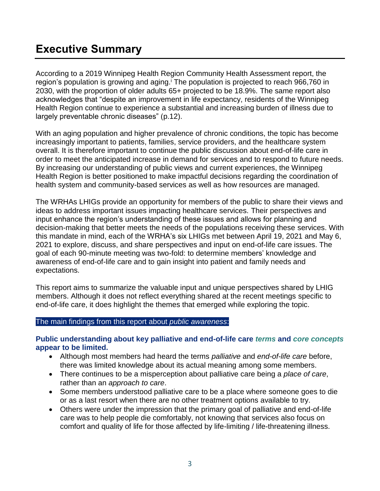# **Executive Summary**

According to a 2019 Winnipeg Health Region Community Health Assessment report, the region's population is growing and aging.<sup>†</sup> The population is projected to reach 966,760 in 2030, with the proportion of older adults 65+ projected to be 18.9%. The same report also acknowledges that "despite an improvement in life expectancy, residents of the Winnipeg Health Region continue to experience a substantial and increasing burden of illness due to largely preventable chronic diseases" (p.12).

With an aging population and higher prevalence of chronic conditions, the topic has become increasingly important to patients, families, service providers, and the healthcare system overall. It is therefore important to continue the public discussion about end-of-life care in order to meet the anticipated increase in demand for services and to respond to future needs. By increasing our understanding of public views and current experiences, the Winnipeg Health Region is better positioned to make impactful decisions regarding the coordination of health system and community-based services as well as how resources are managed.

The WRHAs LHIGs provide an opportunity for members of the public to share their views and ideas to address important issues impacting healthcare services. Their perspectives and input enhance the region's understanding of these issues and allows for planning and decision-making that better meets the needs of the populations receiving these services. With this mandate in mind, each of the WRHA's six LHIGs met between April 19, 2021 and May 6, 2021 to explore, discuss, and share perspectives and input on end-of-life care issues. The goal of each 90-minute meeting was two-fold: to determine members' knowledge and awareness of end-of-life care and to gain insight into patient and family needs and expectations.

This report aims to summarize the valuable input and unique perspectives shared by LHIG members. Although it does not reflect everything shared at the recent meetings specific to end-of-life care, it does highlight the themes that emerged while exploring the topic.

#### The main findings from this report about *public awareness*:

#### **Public understanding about key palliative and end-of-life care** *terms* **and** *core concepts* **appear to be limited.**

- Although most members had heard the terms *palliative* and *end-of-life care* before, there was limited knowledge about its actual meaning among some members.
- There continues to be a misperception about palliative care being a *place of care*, rather than an *approach to care*.
- Some members understood palliative care to be a place where someone goes to die or as a last resort when there are no other treatment options available to try.
- Others were under the impression that the primary goal of palliative and end-of-life care was to help people die comfortably, not knowing that services also focus on comfort and quality of life for those affected by life-limiting / life-threatening illness.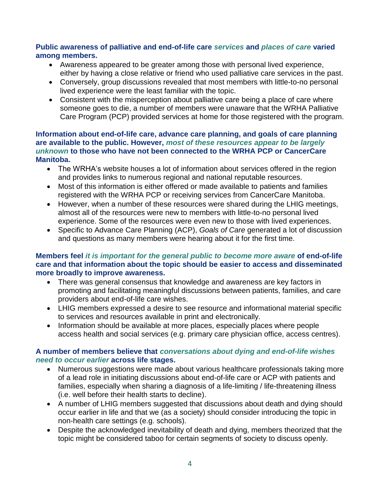#### **Public awareness of palliative and end-of-life care** *services* **and** *places of care* **varied among members.**

- Awareness appeared to be greater among those with personal lived experience, either by having a close relative or friend who used palliative care services in the past.
- Conversely, group discussions revealed that most members with little-to-no personal lived experience were the least familiar with the topic.
- Consistent with the misperception about palliative care being a place of care where someone goes to die, a number of members were unaware that the WRHA Palliative Care Program (PCP) provided services at home for those registered with the program.

#### **Information about end-of-life care, advance care planning, and goals of care planning are available to the public. However,** *most of these resources appear to be largely unknown* **to those who have not been connected to the WRHA PCP or CancerCare Manitoba.**

- The WRHA's website houses a lot of information about services offered in the region and provides links to numerous regional and national reputable resources.
- Most of this information is either offered or made available to patients and families registered with the WRHA PCP or receiving services from CancerCare Manitoba.
- However, when a number of these resources were shared during the LHIG meetings, almost all of the resources were new to members with little-to-no personal lived experience. Some of the resources were even new to those with lived experiences.
- Specific to Advance Care Planning (ACP), *Goals of Care* generated a lot of discussion and questions as many members were hearing about it for the first time.

#### **Members feel** *it is important for the general public to become more aware* **of end-of-life care and that information about the topic should be easier to access and disseminated more broadly to improve awareness.**

- There was general consensus that knowledge and awareness are key factors in promoting and facilitating meaningful discussions between patients, families, and care providers about end-of-life care wishes.
- LHIG members expressed a desire to see resource and informational material specific to services and resources available in print and electronically.
- Information should be available at more places, especially places where people access health and social services (e.g. primary care physician office, access centres).

#### **A number of members believe that** *conversations about dying and end-of-life wishes need to occur earlier* **across life stages.**

- Numerous suggestions were made about various healthcare professionals taking more of a lead role in initiating discussions about end-of-life care or ACP with patients and families, especially when sharing a diagnosis of a life-limiting / life-threatening illness (i.e. well before their health starts to decline).
- A number of LHIG members suggested that discussions about death and dying should occur earlier in life and that we (as a society) should consider introducing the topic in non-health care settings (e.g. schools).
- Despite the acknowledged inevitability of death and dying, members theorized that the topic might be considered taboo for certain segments of society to discuss openly.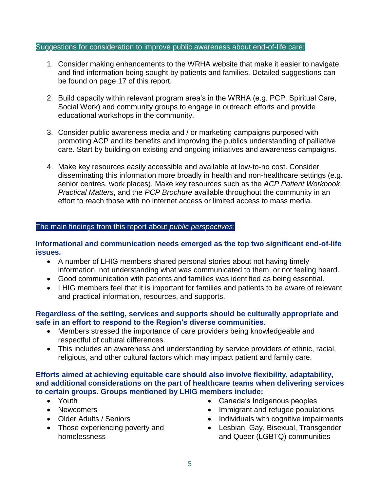#### Suggestions for consideration to improve public awareness about end-of-life care:

- 1. Consider making enhancements to the WRHA website that make it easier to navigate and find information being sought by patients and families. Detailed suggestions can be found on page 17 of this report.
- 2. Build capacity within relevant program area's in the WRHA (e.g. PCP, Spiritual Care, Social Work) and community groups to engage in outreach efforts and provide educational workshops in the community.
- 3. Consider public awareness media and / or marketing campaigns purposed with promoting ACP and its benefits and improving the publics understanding of palliative care. Start by building on existing and ongoing initiatives and awareness campaigns.
- 4. Make key resources easily accessible and available at low-to-no cost. Consider disseminating this information more broadly in health and non-healthcare settings (e.g. senior centres, work places). Make key resources such as the *ACP Patient Workbook*, *Practical Matters*, and the *PCP Brochure* available throughout the community in an effort to reach those with no internet access or limited access to mass media.

#### The main findings from this report about *public perspectives*:

**Informational and communication needs emerged as the top two significant end-of-life issues.**

- A number of LHIG members shared personal stories about not having timely information, not understanding what was communicated to them, or not feeling heard.
- Good communication with patients and families was identified as being essential.
- LHIG members feel that it is important for families and patients to be aware of relevant and practical information, resources, and supports.

#### **Regardless of the setting, services and supports should be culturally appropriate and safe in an effort to respond to the Region's diverse communities.**

- Members stressed the importance of care providers being knowledgeable and respectful of cultural differences.
- This includes an awareness and understanding by service providers of ethnic, racial, religious, and other cultural factors which may impact patient and family care.

#### **Efforts aimed at achieving equitable care should also involve flexibility, adaptability, and additional considerations on the part of healthcare teams when delivering services to certain groups. Groups mentioned by LHIG members include:**

- Youth
- Newcomers
- Older Adults / Seniors
- Those experiencing poverty and homelessness
- Canada's Indigenous peoples
- Immigrant and refugee populations
- Individuals with cognitive impairments
- Lesbian, Gay, Bisexual, Transgender and Queer (LGBTQ) communities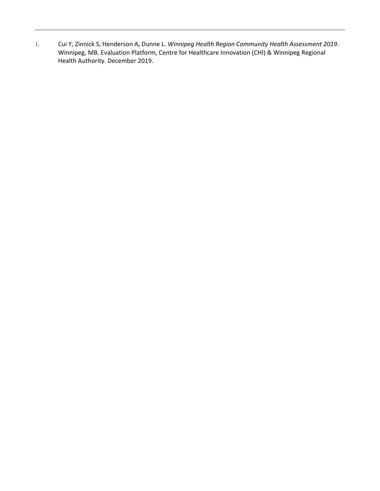i. Cui Y, Zinnick S, Henderson A, Dunne L. *Winnipeg Health Region Community Health Assessment 2019*. Winnipeg, MB. Evaluation Platform, Centre for Healthcare Innovation (CHI) & Winnipeg Regional Health Authority. December 2019.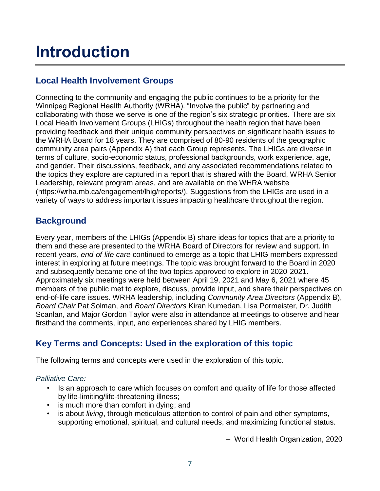# **Introduction**

### **Local Health Involvement Groups**

Connecting to the community and engaging the public continues to be a priority for the Winnipeg Regional Health Authority (WRHA). "Involve the public" by partnering and collaborating with those we serve is one of the region's six strategic priorities. There are six Local Health Involvement Groups (LHIGs) throughout the health region that have been providing feedback and their unique community perspectives on significant health issues to the WRHA Board for 18 years. They are comprised of 80-90 residents of the geographic community area pairs (Appendix A) that each Group represents. The LHIGs are diverse in terms of culture, socio-economic status, professional backgrounds, work experience, age, and gender. Their discussions, feedback, and any associated recommendations related to the topics they explore are captured in a report that is shared with the Board, WRHA Senior Leadership, relevant program areas, and are available on the WHRA website [\(https://wrha.mb.ca/engagement/lhig/reports/\)](https://wrha.mb.ca/engagement/lhig/reports/). Suggestions from the LHIGs are used in a variety of ways to address important issues impacting healthcare throughout the region.

### **Background**

Every year, members of the LHIGs (Appendix B) share ideas for topics that are a priority to them and these are presented to the WRHA Board of Directors for review and support. In recent years, *end-of-life care* continued to emerge as a topic that LHIG members expressed interest in exploring at future meetings. The topic was brought forward to the Board in 2020 and subsequently became one of the two topics approved to explore in 2020-2021. Approximately six meetings were held between April 19, 2021 and May 6, 2021 where 45 members of the public met to explore, discuss, provide input, and share their perspectives on end-of-life care issues. WRHA leadership, including *Community Area Directors* (Appendix B), *Board Chair* Pat Solman, and *Board Directors* Kiran Kumedan, Lisa Pormeister, Dr. Judith Scanlan, and Major Gordon Taylor were also in attendance at meetings to observe and hear firsthand the comments, input, and experiences shared by LHIG members.

### **Key Terms and Concepts: Used in the exploration of this topic**

The following terms and concepts were used in the exploration of this topic.

#### *Palliative Care:*

- Is an approach to care which focuses on comfort and quality of life for those affected by life-limiting/life-threatening illness;
- is much more than comfort in dying; and
- is about *living*, through meticulous attention to control of pain and other symptoms, supporting emotional, spiritual, and cultural needs, and maximizing functional status.

– World Health Organization, 2020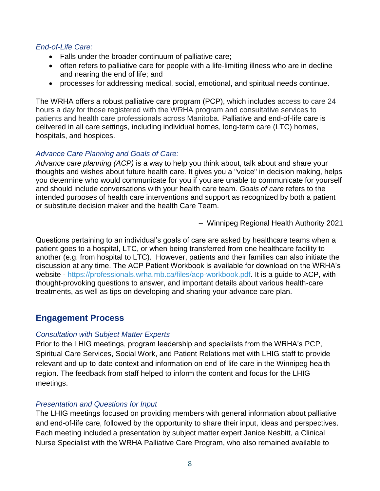#### *End-of-Life Care:*

- Falls under the broader continuum of palliative care;
- often refers to palliative care for people with a life-limiting illness who are in decline and nearing the end of life; and
- processes for addressing medical, social, emotional, and spiritual needs continue.

The WRHA offers a robust palliative care program (PCP), which includes access to care 24 hours a day for those registered with the WRHA program and consultative services to patients and health care professionals across Manitoba. Palliative and end-of-life care is delivered in all care settings, including individual homes, long-term care (LTC) homes, hospitals, and hospices.

#### *Advance Care Planning and Goals of Care:*

*Advance care planning (ACP)* is a way to help you think about, talk about and share your thoughts and wishes about future health care. It gives you a "voice" in decision making, helps you determine who would communicate for you if you are unable to communicate for yourself and should include conversations with your health care team. *Goals of care* refers to the intended purposes of health care interventions and support as recognized by both a patient or substitute decision maker and the health Care Team.

– Winnipeg Regional Health Authority 2021

Questions pertaining to an individual's goals of care are asked by healthcare teams when a patient goes to a hospital, LTC, or when being transferred from one healthcare facility to another (e.g. from hospital to LTC). However, patients and their families can also initiate the discussion at any time. The ACP Patient Workbook is available for download on the WRHA's website - [https://professionals.wrha.mb.ca/files/acp-workbook.pdf.](https://professionals.wrha.mb.ca/files/acp-workbook.pdf) It is a guide to ACP, with thought-provoking questions to answer, and important details about various health-care treatments, as well as tips on developing and sharing your advance care plan.

### **Engagement Process**

#### *Consultation with Subject Matter Experts*

Prior to the LHIG meetings, program leadership and specialists from the WRHA's PCP, Spiritual Care Services, Social Work, and Patient Relations met with LHIG staff to provide relevant and up-to-date context and information on end-of-life care in the Winnipeg health region. The feedback from staff helped to inform the content and focus for the LHIG meetings.

#### *Presentation and Questions for Input*

The LHIG meetings focused on providing members with general information about palliative and end-of-life care, followed by the opportunity to share their input, ideas and perspectives. Each meeting included a presentation by subject matter expert Janice Nesbitt, a Clinical Nurse Specialist with the WRHA Palliative Care Program, who also remained available to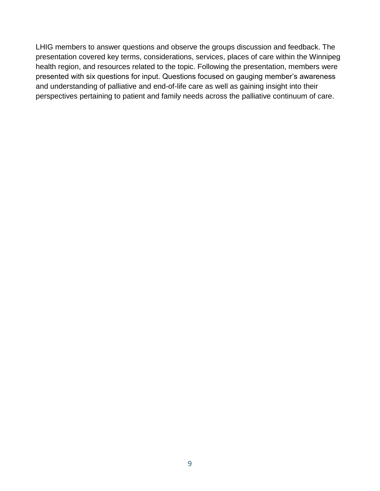LHIG members to answer questions and observe the groups discussion and feedback. The presentation covered key terms, considerations, services, places of care within the Winnipeg health region, and resources related to the topic. Following the presentation, members were presented with six questions for input. Questions focused on gauging member's awareness and understanding of palliative and end-of-life care as well as gaining insight into their perspectives pertaining to patient and family needs across the palliative continuum of care.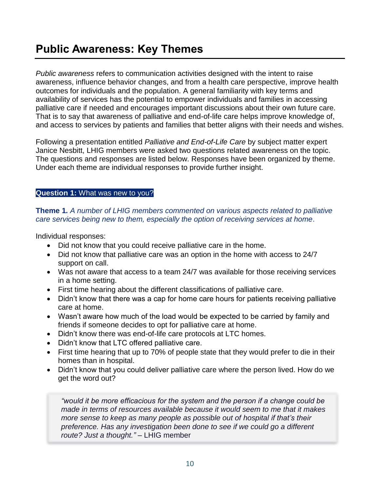## **Public Awareness: Key Themes**

*Public awareness* refers to communication activities designed with the intent to raise awareness, influence behavior changes, and from a health care perspective, improve health outcomes for individuals and the population. A general familiarity with key terms and availability of services has the potential to empower individuals and families in accessing palliative care if needed and encourages important discussions about their own future care. That is to say that awareness of palliative and end-of-life care helps improve knowledge of, and access to services by patients and families that better aligns with their needs and wishes.

Following a presentation entitled *Palliative and End-of-Life Care* by subject matter expert Janice Nesbitt, LHIG members were asked two questions related awareness on the topic. The questions and responses are listed below. Responses have been organized by theme. Under each theme are individual responses to provide further insight.

#### **Question 1:** What was new to you?

**Theme 1***. A number of LHIG members commented on various aspects related to palliative care services being new to them, especially the option of receiving services at home*.

Individual responses:

- Did not know that you could receive palliative care in the home.
- Did not know that palliative care was an option in the home with access to 24/7 support on call.
- Was not aware that access to a team 24/7 was available for those receiving services in a home setting.
- First time hearing about the different classifications of palliative care.
- Didn't know that there was a cap for home care hours for patients receiving palliative care at home.
- Wasn't aware how much of the load would be expected to be carried by family and friends if someone decides to opt for palliative care at home.
- Didn't know there was end-of-life care protocols at LTC homes.
- Didn't know that LTC offered palliative care.
- First time hearing that up to 70% of people state that they would prefer to die in their homes than in hospital.
- Didn't know that you could deliver palliative care where the person lived. How do we get the word out?

*"would it be more efficacious for the system and the person if a change could be made in terms of resources available because it would seem to me that it makes more sense to keep as many people as possible out of hospital if that's their preference. Has any investigation been done to see if we could go a different route? Just a thought."* – LHIG member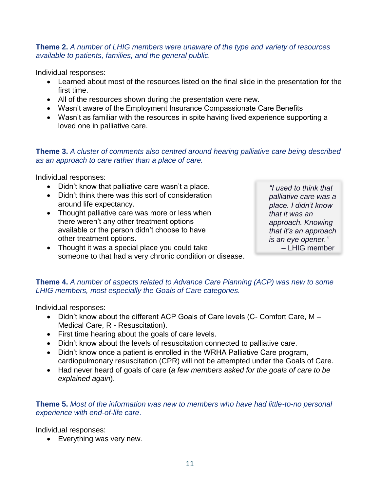#### **Theme 2.** *A number of LHIG members were unaware of the type and variety of resources available to patients, families, and the general public.*

Individual responses:

- Learned about most of the resources listed on the final slide in the presentation for the first time.
- All of the resources shown during the presentation were new.
- Wasn't aware of the Employment Insurance Compassionate Care Benefits
- Wasn't as familiar with the resources in spite having lived experience supporting a loved one in palliative care.

#### **Theme 3.** *A cluster of comments also centred around hearing palliative care being described as an approach to care rather than a place of care.*

Individual responses:

- Didn't know that palliative care wasn't a place.
- Didn't think there was this sort of consideration around life expectancy.
- Thought palliative care was more or less when there weren't any other treatment options available or the person didn't choose to have other treatment options.
- Thought it was a special place you could take someone to that had a very chronic condition or disease.

*"I used to think that palliative care was a place. I didn't know that it was an approach. Knowing that it's an approach is an eye opener."*  – LHIG member

**Theme 4.** *A number of aspects related to Advance Care Planning (ACP) was new to some LHIG members, most especially the Goals of Care categories.*

Individual responses:

- Didn't know about the different ACP Goals of Care levels (C- Comfort Care, M Medical Care, R - Resuscitation).
- First time hearing about the goals of care levels.
- Didn't know about the levels of resuscitation connected to palliative care.
- Didn't know once a patient is enrolled in the WRHA Palliative Care program, cardiopulmonary resuscitation (CPR) will not be attempted under the Goals of Care.
- Had never heard of goals of care (*a few members asked for the goals of care to be explained again*).

#### **Theme 5.** *Most of the information was new to members who have had little-to-no personal experience with end-of-life care*.

Individual responses:

• Everything was very new.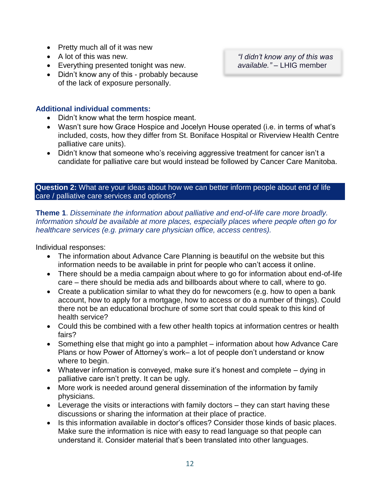- Pretty much all of it was new
- A lot of this was new.
- Everything presented tonight was new.
- Didn't know any of this probably because of the lack of exposure personally.

#### **Additional individual comments:**

- Didn't know what the term hospice meant.
- Wasn't sure how Grace Hospice and Jocelyn House operated (i.e. in terms of what's included, costs, how they differ from St. Boniface Hospital or Riverview Health Centre palliative care units).
- Didn't know that someone who's receiving aggressive treatment for cancer isn't a candidate for palliative care but would instead be followed by Cancer Care Manitoba.

**Question 2:** What are your ideas about how we can better inform people about end of life care / palliative care services and options?

**Theme 1**. *Disseminate the information about palliative and end-of-life care more broadly. Information should be available at more places, especially places where people often go for healthcare services (e.g. primary care physician office, access centres).* 

Individual responses:

- The information about Advance Care Planning is beautiful on the website but this information needs to be available in print for people who can't access it online.
- There should be a media campaign about where to go for information about end-of-life care – there should be media ads and billboards about where to call, where to go.
- Create a publication similar to what they do for newcomers (e.g. how to open a bank account, how to apply for a mortgage, how to access or do a number of things). Could there not be an educational brochure of some sort that could speak to this kind of health service?
- Could this be combined with a few other health topics at information centres or health fairs?
- Something else that might go into a pamphlet information about how Advance Care Plans or how Power of Attorney's work– a lot of people don't understand or know where to begin.
- Whatever information is conveyed, make sure it's honest and complete dying in palliative care isn't pretty. It can be ugly.
- More work is needed around general dissemination of the information by family physicians.
- Leverage the visits or interactions with family doctors they can start having these discussions or sharing the information at their place of practice.
- Is this information available in doctor's offices? Consider those kinds of basic places. Make sure the information is nice with easy to read language so that people can understand it. Consider material that's been translated into other languages.

*"I didn't know any of this was available."* – LHIG member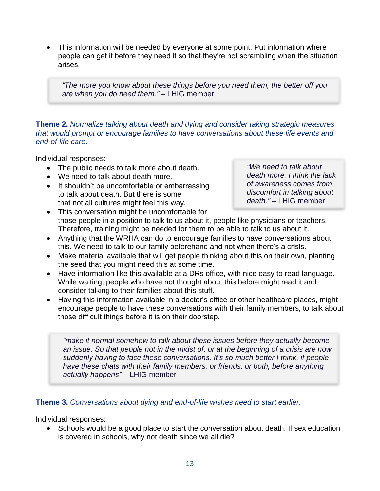• This information will be needed by everyone at some point. Put information where people can get it before they need it so that they're not scrambling when the situation arises.

*"The more you know about these things before you need them, the better off you are when you do need them."* – LHIG member

#### **Theme 2.** *Normalize talking about death and dying and consider taking strategic measures that would prompt or encourage families to have conversations about these life events and end-of-life care*.

Individual responses:

- The public needs to talk more about death.
- We need to talk about death more.
- It shouldn't be uncomfortable or embarrassing to talk about death. But there is some that not all cultures might feel this way.

*"We need to talk about death more. I think the lack of awareness comes from discomfort in talking about death."* – LHIG member

- This conversation might be uncomfortable for those people in a position to talk to us about it, people like physicians or teachers. Therefore, training might be needed for them to be able to talk to us about it.
- Anything that the WRHA can do to encourage families to have conversations about this. We need to talk to our family beforehand and not when there's a crisis.
- Make material available that will get people thinking about this on their own, planting the seed that you might need this at some time.
- Have information like this available at a DRs office, with nice easy to read language. While waiting, people who have not thought about this before might read it and consider talking to their families about this stuff.
- Having this information available in a doctor's office or other healthcare places, might encourage people to have these conversations with their family members, to talk about those difficult things before it is on their doorstep.

*"make it normal somehow to talk about these issues before they actually become an issue. So that people not in the midst of, or at the beginning of a crisis are now suddenly having to face these conversations. It's so much better I think, if people have these chats with their family members, or friends, or both, before anything actually happens"* – LHIG member

#### **Theme 3.** *Conversations about dying and end-of-life wishes need to start earlier.*

Individual responses:

• Schools would be a good place to start the conversation about death. If sex education is covered in schools, why not death since we all die?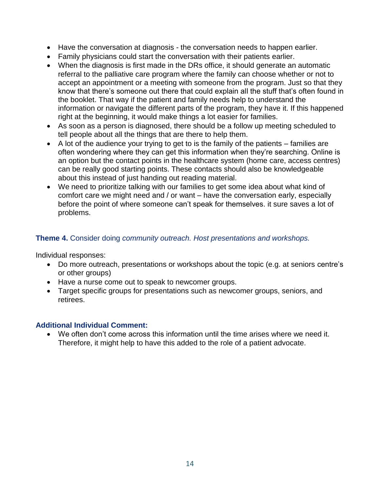- Have the conversation at diagnosis the conversation needs to happen earlier.
- Family physicians could start the conversation with their patients earlier.
- When the diagnosis is first made in the DRs office, it should generate an automatic referral to the palliative care program where the family can choose whether or not to accept an appointment or a meeting with someone from the program. Just so that they know that there's someone out there that could explain all the stuff that's often found in the booklet. That way if the patient and family needs help to understand the information or navigate the different parts of the program, they have it. If this happened right at the beginning, it would make things a lot easier for families.
- As soon as a person is diagnosed, there should be a follow up meeting scheduled to tell people about all the things that are there to help them.
- A lot of the audience your trying to get to is the family of the patients families are often wondering where they can get this information when they're searching. Online is an option but the contact points in the healthcare system (home care, access centres) can be really good starting points. These contacts should also be knowledgeable about this instead of just handing out reading material.
- We need to prioritize talking with our families to get some idea about what kind of comfort care we might need and / or want – have the conversation early, especially before the point of where someone can't speak for themselves. it sure saves a lot of problems.

#### **Theme 4.** Consider doing *community outreach. Host presentations and workshops.*

Individual responses:

- Do more outreach, presentations or workshops about the topic (e.g. at seniors centre's or other groups)
- Have a nurse come out to speak to newcomer groups.
- Target specific groups for presentations such as newcomer groups, seniors, and retirees.

#### **Additional Individual Comment:**

• We often don't come across this information until the time arises where we need it. Therefore, it might help to have this added to the role of a patient advocate.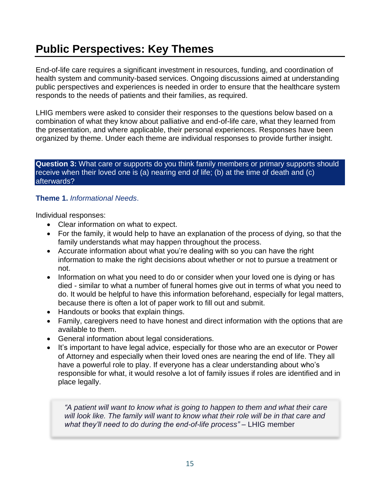# **Public Perspectives: Key Themes**

End-of-life care requires a significant investment in resources, funding, and coordination of health system and community-based services. Ongoing discussions aimed at understanding public perspectives and experiences is needed in order to ensure that the healthcare system responds to the needs of patients and their families, as required.

LHIG members were asked to consider their responses to the questions below based on a combination of what they know about palliative and end-of-life care, what they learned from the presentation, and where applicable, their personal experiences. Responses have been organized by theme. Under each theme are individual responses to provide further insight.

#### **Question 3:** What care or supports do you think family members or primary supports should receive when their loved one is (a) nearing end of life; (b) at the time of death and (c) afterwards?

#### **Theme 1.** *Informational Needs*.

Individual responses:

- Clear information on what to expect.
- For the family, it would help to have an explanation of the process of dying, so that the family understands what may happen throughout the process.
- Accurate information about what you're dealing with so you can have the right information to make the right decisions about whether or not to pursue a treatment or not.
- Information on what you need to do or consider when your loved one is dying or has died - similar to what a number of funeral homes give out in terms of what you need to do. It would be helpful to have this information beforehand, especially for legal matters, because there is often a lot of paper work to fill out and submit.
- Handouts or books that explain things.
- Family, caregivers need to have honest and direct information with the options that are available to them.
- General information about legal considerations.
- It's important to have legal advice, especially for those who are an executor or Power of Attorney and especially when their loved ones are nearing the end of life. They all have a powerful role to play. If everyone has a clear understanding about who's responsible for what, it would resolve a lot of family issues if roles are identified and in place legally.

*"A patient will want to know what is going to happen to them and what their care will look like. The family will want to know what their role will be in that care and what they'll need to do during the end-of-life process"* – LHIG member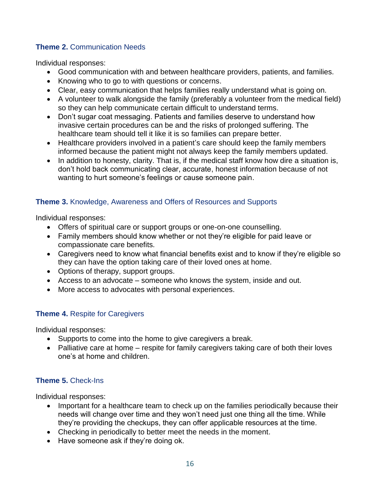#### **Theme 2.** Communication Needs

Individual responses:

- Good communication with and between healthcare providers, patients, and families.
- Knowing who to go to with questions or concerns.
- Clear, easy communication that helps families really understand what is going on.
- A volunteer to walk alongside the family (preferably a volunteer from the medical field) so they can help communicate certain difficult to understand terms.
- Don't sugar coat messaging. Patients and families deserve to understand how invasive certain procedures can be and the risks of prolonged suffering. The healthcare team should tell it like it is so families can prepare better.
- Healthcare providers involved in a patient's care should keep the family members informed because the patient might not always keep the family members updated.
- In addition to honesty, clarity. That is, if the medical staff know how dire a situation is, don't hold back communicating clear, accurate, honest information because of not wanting to hurt someone's feelings or cause someone pain.

#### **Theme 3.** Knowledge, Awareness and Offers of Resources and Supports

Individual responses:

- Offers of spiritual care or support groups or one-on-one counselling.
- Family members should know whether or not they're eligible for paid leave or compassionate care benefits.
- Caregivers need to know what financial benefits exist and to know if they're eligible so they can have the option taking care of their loved ones at home.
- Options of therapy, support groups.
- Access to an advocate someone who knows the system, inside and out.
- More access to advocates with personal experiences.

#### **Theme 4.** Respite for Caregivers

Individual responses:

- Supports to come into the home to give caregivers a break.
- Palliative care at home respite for family caregivers taking care of both their loves one's at home and children.

#### **Theme 5.** Check-Ins

Individual responses:

- Important for a healthcare team to check up on the families periodically because their needs will change over time and they won't need just one thing all the time. While they're providing the checkups, they can offer applicable resources at the time.
- Checking in periodically to better meet the needs in the moment.
- Have someone ask if they're doing ok.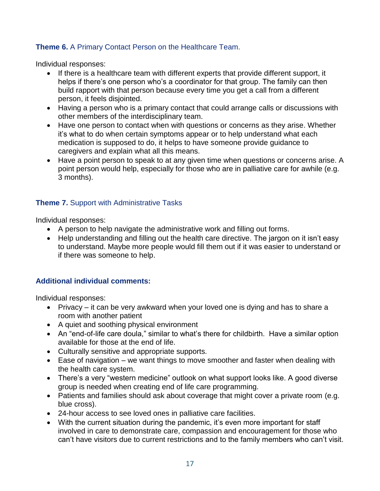#### **Theme 6.** A Primary Contact Person on the Healthcare Team.

Individual responses:

- If there is a healthcare team with different experts that provide different support, it helps if there's one person who's a coordinator for that group. The family can then build rapport with that person because every time you get a call from a different person, it feels disjointed.
- Having a person who is a primary contact that could arrange calls or discussions with other members of the interdisciplinary team.
- Have one person to contact when with questions or concerns as they arise. Whether it's what to do when certain symptoms appear or to help understand what each medication is supposed to do, it helps to have someone provide guidance to caregivers and explain what all this means.
- Have a point person to speak to at any given time when questions or concerns arise. A point person would help, especially for those who are in palliative care for awhile (e.g. 3 months).

#### **Theme 7.** Support with Administrative Tasks

Individual responses:

- A person to help navigate the administrative work and filling out forms.
- Help understanding and filling out the health care directive. The jargon on it isn't easy to understand. Maybe more people would fill them out if it was easier to understand or if there was someone to help.

#### **Additional individual comments:**

Individual responses:

- Privacy it can be very awkward when your loved one is dying and has to share a room with another patient
- A quiet and soothing physical environment
- An "end-of-life care doula," similar to what's there for childbirth. Have a similar option available for those at the end of life.
- Culturally sensitive and appropriate supports.
- Ease of navigation we want things to move smoother and faster when dealing with the health care system.
- There's a very "western medicine" outlook on what support looks like. A good diverse group is needed when creating end of life care programming.
- Patients and families should ask about coverage that might cover a private room (e.g. blue cross).
- 24-hour access to see loved ones in palliative care facilities.
- With the current situation during the pandemic, it's even more important for staff involved in care to demonstrate care, compassion and encouragement for those who can't have visitors due to current restrictions and to the family members who can't visit.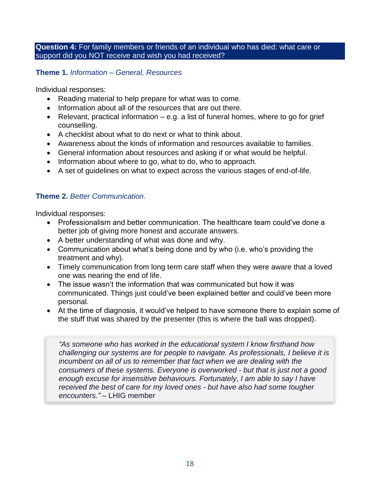**Question 4:** For family members or friends of an individual who has died: what care or support did you NOT receive and wish you had received?

**Theme 1.** *Information – General, Resources*

Individual responses:

- Reading material to help prepare for what was to come.
- Information about all of the resources that are out there.
- Relevant, practical information  $-$  e.g. a list of funeral homes, where to go for grief counselling.
- A checklist about what to do next or what to think about.
- Awareness about the kinds of information and resources available to families.
- General information about resources and asking if or what would be helpful.
- Information about where to go, what to do, who to approach.
- A set of guidelines on what to expect across the various stages of end-of-life.

#### **Theme 2.** *Better Communication.*

Individual responses:

- Professionalism and better communication. The healthcare team could've done a better job of giving more honest and accurate answers.
- A better understanding of what was done and why.
- Communication about what's being done and by who (i.e. who's providing the treatment and why).
- Timely communication from long term care staff when they were aware that a loved one was nearing the end of life.
- The issue wasn't the information that was communicated but how it was communicated. Things just could've been explained better and could've been more personal.
- At the time of diagnosis, it would've helped to have someone there to explain some of the stuff that was shared by the presenter (this is where the ball was dropped).

*"As someone who has worked in the educational system I know firsthand how challenging our systems are for people to navigate. As professionals, I believe it is incumbent on all of us to remember that fact when we are dealing with the consumers of these systems. Everyone is overworked - but that is just not a good enough excuse for insensitive behaviours. Fortunately, I am able to say I have received the best of care for my loved ones - but have also had some tougher encounters."* – LHIG member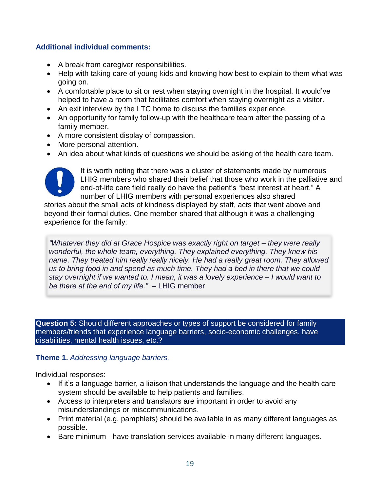#### **Additional individual comments:**

- A break from caregiver responsibilities.
- Help with taking care of young kids and knowing how best to explain to them what was going on.
- A comfortable place to sit or rest when staying overnight in the hospital. It would've helped to have a room that facilitates comfort when staying overnight as a visitor.
- An exit interview by the LTC home to discuss the families experience.
- An opportunity for family follow-up with the healthcare team after the passing of a family member.
- A more consistent display of compassion.
- More personal attention.
- An idea about what kinds of questions we should be asking of the health care team.



It is worth noting that there was a cluster of statements made by numerous LHIG members who shared their belief that those who work in the palliative and end-of-life care field really do have the patient's "best interest at heart." A number of LHIG members with personal experiences also shared

stories about the small acts of kindness displayed by staff, acts that went above and beyond their formal duties. One member shared that although it was a challenging experience for the family:

*"Whatever they did at Grace Hospice was exactly right on target – they were really wonderful, the whole team, everything. They explained everything. They knew his name. They treated him really really nicely. He had a really great room. They allowed us to bring food in and spend as much time. They had a bed in there that we could stay overnight if we wanted to. I mean, it was a lovely experience – I would want to be there at the end of my life."* – LHIG member

**Question 5:** Should different approaches or types of support be considered for family members/friends that experience language barriers, socio-economic challenges, have disabilities, mental health issues, etc.?

#### **Theme 1.** *Addressing language barriers.*

Individual responses:

- If it's a language barrier, a liaison that understands the language and the health care system should be available to help patients and families.
- Access to interpreters and translators are important in order to avoid any misunderstandings or miscommunications.
- Print material (e.g. pamphlets) should be available in as many different languages as possible.
- Bare minimum have translation services available in many different languages.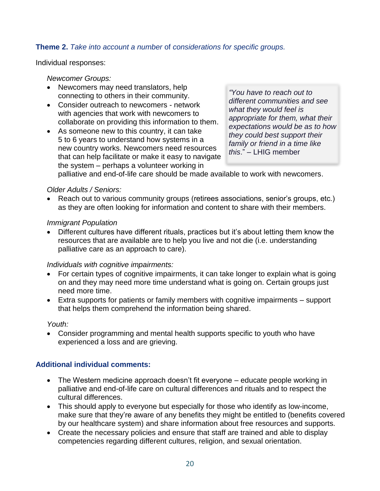#### **Theme 2.** *Take into account a number* of *considerations for specific groups.*

Individual responses:

#### *Newcomer Groups:*

- Newcomers may need translators, help connecting to others in their community.
- Consider outreach to newcomers network with agencies that work with newcomers to collaborate on providing this information to them.
- As someone new to this country, it can take 5 to 6 years to understand how systems in a new country works. Newcomers need resources that can help facilitate or make it easy to navigate the system – perhaps a volunteer working in

*"You have to reach out to different communities and see what they would feel is appropriate for them, what their expectations would be as to how they could best support their family or friend in a time like this*." – LHIG member

palliative and end-of-life care should be made available to work with newcomers.

#### *Older Adults / Seniors:*

• Reach out to various community groups (retirees associations, senior's groups, etc.) as they are often looking for information and content to share with their members.

#### *Immigrant Population*

• Different cultures have different rituals, practices but it's about letting them know the resources that are available are to help you live and not die (i.e. understanding palliative care as an approach to care).

#### *Individuals with cognitive impairments:*

- For certain types of cognitive impairments, it can take longer to explain what is going on and they may need more time understand what is going on. Certain groups just need more time.
- Extra supports for patients or family members with cognitive impairments support that helps them comprehend the information being shared.

*Youth:*

• Consider programming and mental health supports specific to youth who have experienced a loss and are grieving.

#### **Additional individual comments:**

- The Western medicine approach doesn't fit everyone educate people working in palliative and end-of-life care on cultural differences and rituals and to respect the cultural differences.
- This should apply to everyone but especially for those who identify as low-income, make sure that they're aware of any benefits they might be entitled to (benefits covered by our healthcare system) and share information about free resources and supports.
- Create the necessary policies and ensure that staff are trained and able to display competencies regarding different cultures, religion, and sexual orientation.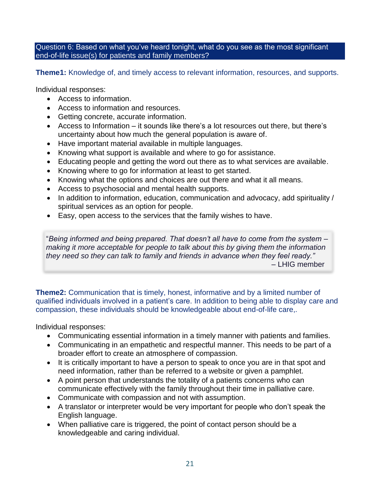Question 6: Based on what you've heard tonight, what do you see as the most significant end-of-life issue(s) for patients and family members?

**Theme1:** Knowledge of, and timely access to relevant information, resources, and supports.

Individual responses:

- Access to information.
- Access to information and resources.
- Getting concrete, accurate information.
- Access to Information it sounds like there's a lot resources out there, but there's uncertainty about how much the general population is aware of.
- Have important material available in multiple languages.
- Knowing what support is available and where to go for assistance.
- Educating people and getting the word out there as to what services are available.
- Knowing where to go for information at least to get started.
- Knowing what the options and choices are out there and what it all means.
- Access to psychosocial and mental health supports.
- In addition to information, education, communication and advocacy, add spirituality / spiritual services as an option for people.
- Easy, open access to the services that the family wishes to have.

"*Being informed and being prepared. That doesn't all have to come from the system – making it more acceptable for people to talk about this by giving them the information they need so they can talk to family and friends in advance when they feel ready."* – LHIG member

**Theme2:** Communication that is timely, honest, informative and by a limited number of qualified individuals involved in a patient's care. In addition to being able to display care and compassion, these individuals should be knowledgeable about end-of-life care,.

Individual responses:

- Communicating essential information in a timely manner with patients and families.
- Communicating in an empathetic and respectful manner. This needs to be part of a broader effort to create an atmosphere of compassion.
- It is critically important to have a person to speak to once you are in that spot and need information, rather than be referred to a website or given a pamphlet.
- A point person that understands the totality of a patients concerns who can communicate effectively with the family throughout their time in palliative care.
- Communicate with compassion and not with assumption.
- A translator or interpreter would be very important for people who don't speak the English language.
- When palliative care is triggered, the point of contact person should be a knowledgeable and caring individual.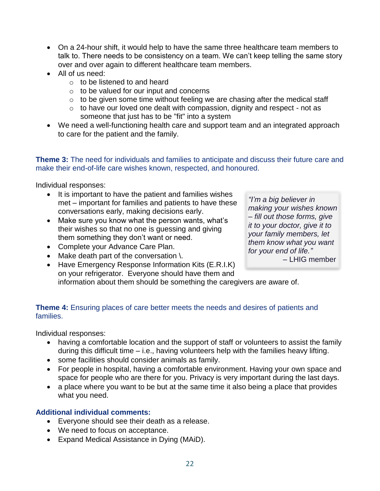- On a 24-hour shift, it would help to have the same three healthcare team members to talk to. There needs to be consistency on a team. We can't keep telling the same story over and over again to different healthcare team members.
- All of us need:
	- $\circ$  to be listened to and heard
	- $\circ$  to be valued for our input and concerns
	- $\circ$  to be given some time without feeling we are chasing after the medical staff
	- $\circ$  to have our loved one dealt with compassion, dignity and respect not as someone that just has to be "fit" into a system
- We need a well-functioning health care and support team and an integrated approach to care for the patient and the family.

**Theme 3:** The need for individuals and families to anticipate and discuss their future care and make their end-of-life care wishes known, respected, and honoured.

Individual responses:

- It is important to have the patient and families wishes met – important for families and patients to have these conversations early, making decisions early.
- Make sure you know what the person wants, what's their wishes so that no one is guessing and giving them something they don't want or need.
- Complete your Advance Care Plan.
- Make death part of the conversation \.

*"I'm a big believer in making your wishes known – fill out those forms, give it to your doctor, give it to your family members, let them know what you want for your end of life."* 

– LHIG member

• Have Emergency Response Information Kits (E.R.I.K) on your refrigerator. Everyone should have them and information about them should be something the caregivers are aware of.

#### **Theme 4:** Ensuring places of care better meets the needs and desires of patients and families.

Individual responses:

- having a comfortable location and the support of staff or volunteers to assist the family during this difficult time – i.e., having volunteers help with the families heavy lifting.
- some facilities should consider animals as family.
- For people in hospital, having a comfortable environment. Having your own space and space for people who are there for you. Privacy is very important during the last days.
- a place where you want to be but at the same time it also being a place that provides what you need.

#### **Additional individual comments:**

- Everyone should see their death as a release.
- We need to focus on acceptance.
- Expand Medical Assistance in Dying (MAiD).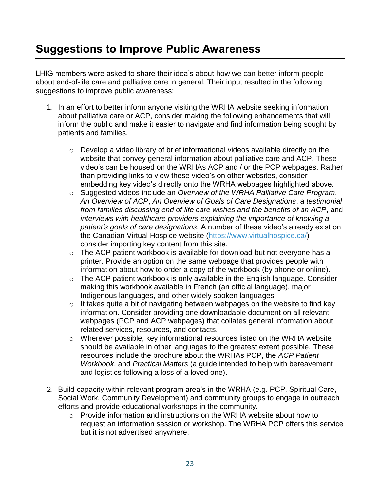## **Suggestions to Improve Public Awareness**

LHIG members were asked to share their idea's about how we can better inform people about end-of-life care and palliative care in general. Their input resulted in the following suggestions to improve public awareness:

- 1. In an effort to better inform anyone visiting the WRHA website seeking information about palliative care or ACP, consider making the following enhancements that will inform the public and make it easier to navigate and find information being sought by patients and families.
	- o Develop a video library of brief informational videos available directly on the website that convey general information about palliative care and ACP. These video's can be housed on the WRHAs ACP and / or the PCP webpages. Rather than providing links to view these video's on other websites, consider embedding key video's directly onto the WRHA webpages highlighted above.
	- o Suggested videos include an *Overview of the WRHA Palliative Care Program*, *An Overview of ACP*, *An Overview of Goals of Care Designations*, a *testimonial from families discussing end of life care wishes and the benefits of an ACP*, and *interviews with healthcare providers explaining the importance of knowing a patient's goals of care designations*. A number of these video's already exist on the Canadian Virtual Hospice website [\(https://www.virtualhospice.ca/\)](https://www.virtualhospice.ca/) – consider importing key content from this site.
	- o The ACP patient workbook is available for download but not everyone has a printer. Provide an option on the same webpage that provides people with information about how to order a copy of the workbook (by phone or online).
	- o The ACP patient workbook is only available in the English language. Consider making this workbook available in French (an official language), major Indigenous languages, and other widely spoken languages.
	- $\circ$  It takes quite a bit of navigating between webpages on the website to find key information. Consider providing one downloadable document on all relevant webpages (PCP and ACP webpages) that collates general information about related services, resources, and contacts.
	- o Wherever possible, key informational resources listed on the WRHA website should be available in other languages to the greatest extent possible. These resources include the brochure about the WRHAs PCP, the *ACP Patient Workbook*, and *Practical Matters* (a guide intended to help with bereavement and logistics following a loss of a loved one).
- 2. Build capacity within relevant program area's in the WRHA (e.g. PCP, Spiritual Care, Social Work, Community Development) and community groups to engage in outreach efforts and provide educational workshops in the community.
	- o Provide information and instructions on the WRHA website about how to request an information session or workshop. The WRHA PCP offers this service but it is not advertised anywhere.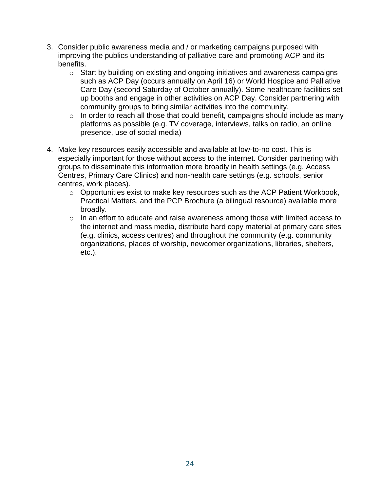- 3. Consider public awareness media and / or marketing campaigns purposed with improving the publics understanding of palliative care and promoting ACP and its benefits.
	- o Start by building on existing and ongoing initiatives and awareness campaigns such as ACP Day (occurs annually on April 16) or World Hospice and Palliative Care Day (second Saturday of October annually). Some healthcare facilities set up booths and engage in other activities on ACP Day. Consider partnering with community groups to bring similar activities into the community.
	- $\circ$  In order to reach all those that could benefit, campaigns should include as many platforms as possible (e.g. TV coverage, interviews, talks on radio, an online presence, use of social media)
- 4. Make key resources easily accessible and available at low-to-no cost. This is especially important for those without access to the internet. Consider partnering with groups to disseminate this information more broadly in health settings (e.g. Access Centres, Primary Care Clinics) and non-health care settings (e.g. schools, senior centres, work places).
	- o Opportunities exist to make key resources such as the ACP Patient Workbook, Practical Matters, and the PCP Brochure (a bilingual resource) available more broadly.
	- o In an effort to educate and raise awareness among those with limited access to the internet and mass media, distribute hard copy material at primary care sites (e.g. clinics, access centres) and throughout the community (e.g. community organizations, places of worship, newcomer organizations, libraries, shelters, etc.).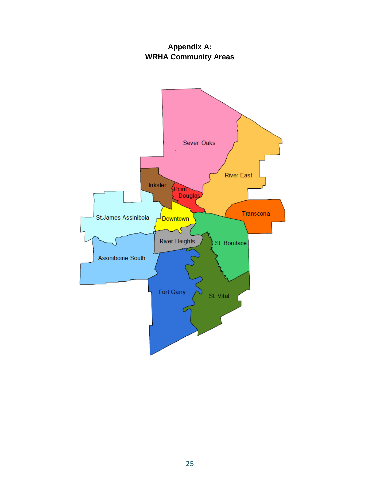### **Appendix A: WRHA Community Areas**